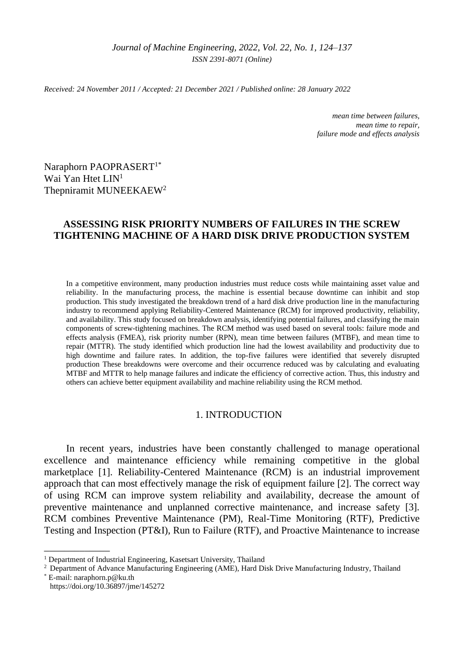*Received: 24 November 2011 / Accepted: 21 December 2021 / Published online: 28 January 2022*

*mean time between failures, mean time to repair, failure mode and effects analysis*

Naraphorn PAOPRASERT<sup>1\*</sup> Wai Yan Htet LIN<sup>1</sup> Thepniramit MUNEEKAEW<sup>2</sup>

# **ASSESSING RISK PRIORITY NUMBERS OF FAILURES IN THE SCREW TIGHTENING MACHINE OF A HARD DISK DRIVE PRODUCTION SYSTEM**

In a competitive environment, many production industries must reduce costs while maintaining asset value and reliability. In the manufacturing process, the machine is essential because downtime can inhibit and stop production. This study investigated the breakdown trend of a hard disk drive production line in the manufacturing industry to recommend applying Reliability-Centered Maintenance (RCM) for improved productivity, reliability, and availability. This study focused on breakdown analysis, identifying potential failures, and classifying the main components of screw-tightening machines. The RCM method was used based on several tools: failure mode and effects analysis (FMEA), risk priority number (RPN), mean time between failures (MTBF), and mean time to repair (MTTR). The study identified which production line had the lowest availability and productivity due to high downtime and failure rates. In addition, the top-five failures were identified that severely disrupted production These breakdowns were overcome and their occurrence reduced was by calculating and evaluating MTBF and MTTR to help manage failures and indicate the efficiency of corrective action. Thus, this industry and others can achieve better equipment availability and machine reliability using the RCM method.

## 1. INTRODUCTION

In recent years, industries have been constantly challenged to manage operational excellence and maintenance efficiency while remaining competitive in the global marketplace [1]. Reliability-Centered Maintenance (RCM) is an industrial improvement approach that can most effectively manage the risk of equipment failure [2]. The correct way of using RCM can improve system reliability and availability, decrease the amount of preventive maintenance and unplanned corrective maintenance, and increase safety [3]. RCM combines Preventive Maintenance (PM), Real-Time Monitoring (RTF), Predictive Testing and Inspection (PT&I), Run to Failure (RTF), and Proactive Maintenance to increase

\_\_\_\_\_\_\_\_\_\_\_\_\_

<sup>&</sup>lt;sup>1</sup> Department of Industrial Engineering, Kasetsart University, Thailand

<sup>&</sup>lt;sup>2</sup> Department of Advance Manufacturing Engineering (AME), Hard Disk Drive Manufacturing Industry, Thailand

 $E$ -mail: naraphorn.p@ku.th https://doi.org/10.36897/jme/145272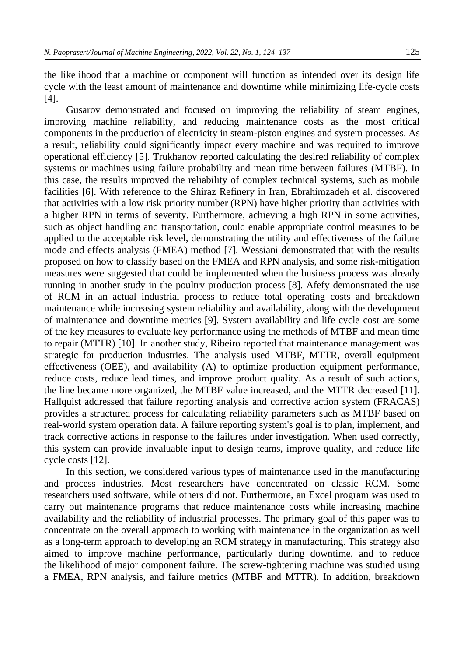the likelihood that a machine or component will function as intended over its design life cycle with the least amount of maintenance and downtime while minimizing life-cycle costs [4].

Gusarov demonstrated and focused on improving the reliability of steam engines, improving machine reliability, and reducing maintenance costs as the most critical components in the production of electricity in steam-piston engines and system processes. As a result, reliability could significantly impact every machine and was required to improve operational efficiency [5]. Trukhanov reported calculating the desired reliability of complex systems or machines using failure probability and mean time between failures (MTBF). In this case, the results improved the reliability of complex technical systems, such as mobile facilities [6]. With reference to the Shiraz Refinery in Iran, Ebrahimzadeh et al. discovered that activities with a low risk priority number (RPN) have higher priority than activities with a higher RPN in terms of severity. Furthermore, achieving a high RPN in some activities, such as object handling and transportation, could enable appropriate control measures to be applied to the acceptable risk level, demonstrating the utility and effectiveness of the failure mode and effects analysis (FMEA) method [7]. Wessiani demonstrated that with the results proposed on how to classify based on the FMEA and RPN analysis, and some risk-mitigation measures were suggested that could be implemented when the business process was already running in another study in the poultry production process [8]. Afefy demonstrated the use of RCM in an actual industrial process to reduce total operating costs and breakdown maintenance while increasing system reliability and availability, along with the development of maintenance and downtime metrics [9]. System availability and life cycle cost are some of the key measures to evaluate key performance using the methods of MTBF and mean time to repair (MTTR) [10]. In another study, Ribeiro reported that maintenance management was strategic for production industries. The analysis used MTBF, MTTR, overall equipment effectiveness (OEE), and availability (A) to optimize production equipment performance, reduce costs, reduce lead times, and improve product quality. As a result of such actions, the line became more organized, the MTBF value increased, and the MTTR decreased [11]. Hallquist addressed that failure reporting analysis and corrective action system (FRACAS) provides a structured process for calculating reliability parameters such as MTBF based on real-world system operation data. A failure reporting system's goal is to plan, implement, and track corrective actions in response to the failures under investigation. When used correctly, this system can provide invaluable input to design teams, improve quality, and reduce life cycle costs [12].

In this section, we considered various types of maintenance used in the manufacturing and process industries. Most researchers have concentrated on classic RCM. Some researchers used software, while others did not. Furthermore, an Excel program was used to carry out maintenance programs that reduce maintenance costs while increasing machine availability and the reliability of industrial processes. The primary goal of this paper was to concentrate on the overall approach to working with maintenance in the organization as well as a long-term approach to developing an RCM strategy in manufacturing. This strategy also aimed to improve machine performance, particularly during downtime, and to reduce the likelihood of major component failure. The screw-tightening machine was studied using a FMEA, RPN analysis, and failure metrics (MTBF and MTTR). In addition, breakdown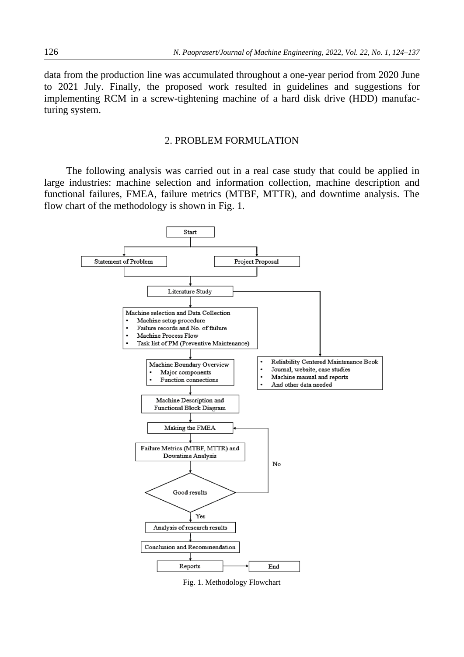data from the production line was accumulated throughout a one-year period from 2020 June to 2021 July. Finally, the proposed work resulted in guidelines and suggestions for implementing RCM in a screw-tightening machine of a hard disk drive (HDD) manufacturing system.

### 2. PROBLEM FORMULATION

The following analysis was carried out in a real case study that could be applied in large industries: machine selection and information collection, machine description and functional failures, FMEA, failure metrics (MTBF, MTTR), and downtime analysis. The flow chart of the methodology is shown in Fig. 1.



Fig. 1. Methodology Flowchart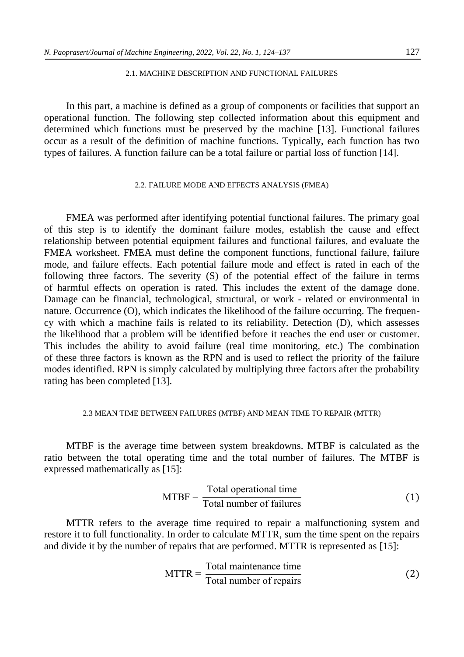## 2.1. MACHINE DESCRIPTION AND FUNCTIONAL FAILURES

In this part, a machine is defined as a group of components or facilities that support an operational function. The following step collected information about this equipment and determined which functions must be preserved by the machine [13]. Functional failures occur as a result of the definition of machine functions. Typically, each function has two types of failures. A function failure can be a total failure or partial loss of function [14].

### 2.2. FAILURE MODE AND EFFECTS ANALYSIS (FMEA)

FMEA was performed after identifying potential functional failures. The primary goal of this step is to identify the dominant failure modes, establish the cause and effect relationship between potential equipment failures and functional failures, and evaluate the FMEA worksheet. FMEA must define the component functions, functional failure, failure mode, and failure effects. Each potential failure mode and effect is rated in each of the following three factors. The severity (S) of the potential effect of the failure in terms of harmful effects on operation is rated. This includes the extent of the damage done. Damage can be financial, technological, structural, or work - related or environmental in nature. Occurrence (O), which indicates the likelihood of the failure occurring. The frequency with which a machine fails is related to its reliability. Detection (D), which assesses the likelihood that a problem will be identified before it reaches the end user or customer. This includes the ability to avoid failure (real time monitoring, etc.) The combination of these three factors is known as the RPN and is used to reflect the priority of the failure modes identified. RPN is simply calculated by multiplying three factors after the probability rating has been completed [13].

### 2.3 MEAN TIME BETWEEN FAILURES (MTBF) AND MEAN TIME TO REPAIR (MTTR)

MTBF is the average time between system breakdowns. MTBF is calculated as the ratio between the total operating time and the total number of failures. The MTBF is expressed mathematically as [15]:

$$
MTBF = \frac{\text{Total operational time}}{\text{Total number of failures}} \tag{1}
$$

MTTR refers to the average time required to repair a malfunctioning system and restore it to full functionality. In order to calculate MTTR, sum the time spent on the repairs and divide it by the number of repairs that are performed. MTTR is represented as [15]:

$$
MTTR = \frac{\text{Total maintenance time}}{\text{Total number of repairs}} \tag{2}
$$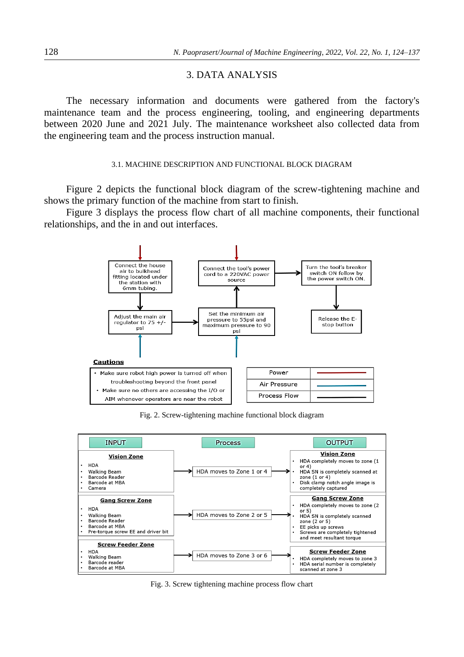## 3. DATA ANALYSIS

The necessary information and documents were gathered from the factory's maintenance team and the process engineering, tooling, and engineering departments between 2020 June and 2021 July. The maintenance worksheet also collected data from the engineering team and the process instruction manual.

#### 3.1. MACHINE DESCRIPTION AND FUNCTIONAL BLOCK DIAGRAM

Figure 2 depicts the functional block diagram of the screw-tightening machine and shows the primary function of the machine from start to finish.

Figure 3 displays the process flow chart of all machine components, their functional relationships, and the in and out interfaces.



Fig. 2. Screw-tightening machine functional block diagram



Fig. 3. Screw tightening machine process flow chart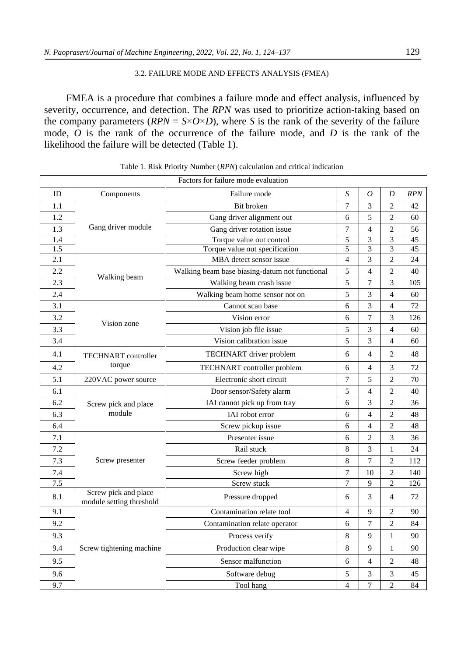### 3.2. FAILURE MODE AND EFFECTS ANALYSIS (FMEA)

FMEA is a procedure that combines a failure mode and effect analysis, influenced by severity, occurrence, and detection. The *RPN* was used to prioritize action-taking based on the company parameters  $(RPN = S \times O \times D)$ , where *S* is the rank of the severity of the failure mode, *O* is the rank of the occurrence of the failure mode, and *D* is the rank of the likelihood the failure will be detected (Table 1).

|     | Factors for failure mode evaluation              |                                                |                  |                |                |     |  |
|-----|--------------------------------------------------|------------------------------------------------|------------------|----------------|----------------|-----|--|
| ID  | Components                                       | Failure mode                                   | S                | $\overline{O}$ | D              | RPN |  |
| 1.1 |                                                  | Bit broken                                     | $\tau$           | 3              | $\overline{2}$ | 42  |  |
| 1.2 |                                                  | Gang driver alignment out                      | 6                | 5              | $\overline{2}$ | 60  |  |
| 1.3 | Gang driver module                               | Gang driver rotation issue                     | 7                | 4              | 2              | 56  |  |
| 1.4 |                                                  | Torque value out control                       | 5                | 3              | 3              | 45  |  |
| 1.5 |                                                  | Torque value out specification                 | 5                | 3              | 3              | 45  |  |
| 2.1 |                                                  | MBA detect sensor issue                        | $\overline{4}$   | 3              | $\overline{2}$ | 24  |  |
| 2.2 | Walking beam                                     | Walking beam base biasing-datum not functional | 5                | 4              | 2              | 40  |  |
| 2.3 |                                                  | Walking beam crash issue                       | 5                | 7              | 3              | 105 |  |
| 2.4 |                                                  | Walking beam home sensor not on                | 5                | 3              | 4              | 60  |  |
| 3.1 |                                                  | Cannot scan base                               | 6                | 3              | 4              | 72  |  |
| 3.2 | Vision zone                                      | Vision error                                   | 6                | 7              | 3              | 126 |  |
| 3.3 |                                                  | Vision job file issue                          | 5                | 3              | 4              | 60  |  |
| 3.4 |                                                  | Vision calibration issue                       | 5                | 3              | 4              | 60  |  |
| 4.1 | <b>TECHNART</b> controller                       | TECHNART driver problem                        | 6                | 4              | $\overline{2}$ | 48  |  |
| 4.2 | torque                                           | TECHNART controller problem                    | 6                | 4              | 3              | 72  |  |
| 5.1 | 220VAC power source                              | Electronic short circuit                       | $\tau$           | 5              | $\mathfrak{2}$ | 70  |  |
| 6.1 |                                                  | Door sensor/Safety alarm                       | 5                | 4              | $\mathfrak{2}$ | 40  |  |
| 6.2 | Screw pick and place                             | IAI cannot pick up from tray                   | 6                | 3              | $\overline{c}$ | 36  |  |
| 6.3 | module                                           | IAI robot error                                | 6                | 4              | 2              | 48  |  |
| 6.4 |                                                  | Screw pickup issue                             | 6                | 4              | 2              | 48  |  |
| 7.1 |                                                  | Presenter issue                                | 6                | $\overline{2}$ | 3              | 36  |  |
| 7.2 |                                                  | Rail stuck                                     | 8                | 3              | 1              | 24  |  |
| 7.3 | Screw presenter                                  | Screw feeder problem                           | 8                | 7              | $\overline{2}$ | 112 |  |
| 7.4 |                                                  | Screw high                                     | 7                | 10             | $\overline{2}$ | 140 |  |
| 7.5 |                                                  | Screw stuck                                    | $\overline{7}$   | 9              | $\overline{c}$ | 126 |  |
| 8.1 | Screw pick and place<br>module setting threshold | Pressure dropped                               | 6                | 3              | $\overline{4}$ | 72  |  |
| 9.1 |                                                  | Contamination relate tool                      | $\overline{4}$   | 9              | 2              | 90  |  |
| 9.2 |                                                  | Contamination relate operator                  | 6                | 7              | $\overline{2}$ | 84  |  |
| 9.3 |                                                  | Process verify                                 | 8                | 9              | $\mathbf{1}$   | 90  |  |
| 9.4 | Screw tightening machine                         | Production clear wipe                          | $\,8\,$          | 9              | 1              | 90  |  |
| 9.5 |                                                  | Sensor malfunction                             | $\boldsymbol{6}$ | $\overline{4}$ | 2              | 48  |  |
| 9.6 |                                                  | Software debug                                 | $\sqrt{5}$       | 3              | 3              | 45  |  |
| 9.7 |                                                  | Tool hang                                      | $\overline{4}$   | $\tau$         | 2              | 84  |  |

Table 1. Risk Priority Number (*RPN*) calculation and critical indication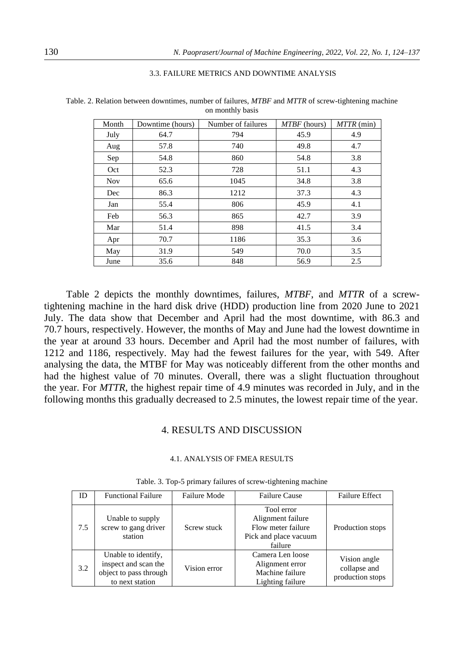|  |  |  | 3.3. FAILURE METRICS AND DOWNTIME ANALYSIS |
|--|--|--|--------------------------------------------|
|  |  |  |                                            |

| Month      | Downtime (hours) | Number of failures | <i>MTBF</i> (hours) | MTTR (min) |
|------------|------------------|--------------------|---------------------|------------|
| July       | 64.7             | 794                | 45.9                | 4.9        |
| Aug        | 57.8             | 740                | 49.8                | 4.7        |
| Sep        | 54.8             | 860                | 54.8                | 3.8        |
| Oct        | 52.3             | 728                | 51.1                | 4.3        |
| <b>Nov</b> | 65.6             | 1045               | 34.8                | 3.8        |
| Dec        | 86.3             | 1212               | 37.3                | 4.3        |
| Jan        | 55.4             | 806                | 45.9                | 4.1        |
| Feb        | 56.3             | 865                | 42.7                | 3.9        |
| Mar        | 51.4             | 898                | 41.5                | 3.4        |
| Apr        | 70.7             | 1186               | 35.3                | 3.6        |
| May        | 31.9             | 549                | 70.0                | 3.5        |
| June       | 35.6             | 848                | 56.9                | 2.5        |

Table. 2. Relation between downtimes, number of failures, *MTBF* and *MTTR* of screw-tightening machine on monthly basis

Table 2 depicts the monthly downtimes, failures, *MTBF*, and *MTTR* of a screwtightening machine in the hard disk drive (HDD) production line from 2020 June to 2021 July. The data show that December and April had the most downtime, with 86.3 and 70.7 hours, respectively. However, the months of May and June had the lowest downtime in the year at around 33 hours. December and April had the most number of failures, with 1212 and 1186, respectively. May had the fewest failures for the year, with 549. After analysing the data, the MTBF for May was noticeably different from the other months and had the highest value of 70 minutes. Overall, there was a slight fluctuation throughout the year. For *MTTR*, the highest repair time of 4.9 minutes was recorded in July, and in the following months this gradually decreased to 2.5 minutes, the lowest repair time of the year.

### 4. RESULTS AND DISCUSSION

### 4.1. ANALYSIS OF FMEA RESULTS

| ID  | <b>Functional Failure</b>                                                                | <b>Failure Mode</b> | <b>Failure Cause</b>                                                                      | <b>Failure Effect</b>                            |
|-----|------------------------------------------------------------------------------------------|---------------------|-------------------------------------------------------------------------------------------|--------------------------------------------------|
| 7.5 | Unable to supply<br>screw to gang driver<br>station                                      | Screw stuck         | Tool error<br>Alignment failure<br>Flow meter failure<br>Pick and place vacuum<br>failure | Production stops                                 |
| 3.2 | Unable to identify,<br>inspect and scan the<br>object to pass through<br>to next station | Vision error        | Camera Len loose<br>Alignment error<br>Machine failure<br>Lighting failure                | Vision angle<br>collapse and<br>production stops |

Table. 3. Top-5 primary failures of screw-tightening machine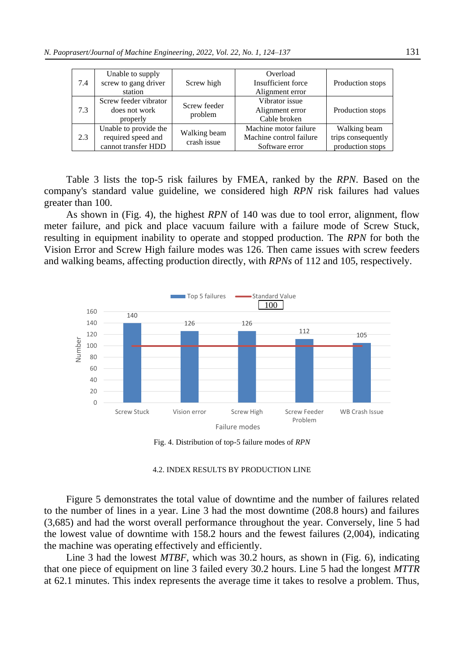| 7.4 | Unable to supply<br>screw to gang driver<br>station                           | Screw high                  | Overload<br>Insufficient force<br>Alignment error                  | Production stops                                       |
|-----|-------------------------------------------------------------------------------|-----------------------------|--------------------------------------------------------------------|--------------------------------------------------------|
| 7.3 | Screw feeder vibrator<br>Screw feeder<br>does not work<br>problem<br>properly |                             | Vibrator issue<br>Alignment error<br>Cable broken                  | Production stops                                       |
| 2.3 | Unable to provide the<br>required speed and<br>cannot transfer HDD            | Walking beam<br>crash issue | Machine motor failure<br>Machine control failure<br>Software error | Walking beam<br>trips consequently<br>production stops |

Table 3 lists the top-5 risk failures by FMEA, ranked by the *RPN*. Based on the company's standard value guideline, we considered high *RPN* risk failures had values greater than 100.

As shown in (Fig. 4), the highest *RPN* of 140 was due to tool error, alignment, flow meter failure, and pick and place vacuum failure with a failure mode of Screw Stuck, resulting in equipment inability to operate and stopped production. The *RPN* for both the Vision Error and Screw High failure modes was 126. Then came issues with screw feeders and walking beams, affecting production directly, with *RPNs* of 112 and 105, respectively.



Fig. 4. Distribution of top-5 failure modes of *RPN*

#### 4.2. INDEX RESULTS BY PRODUCTION LINE

Figure 5 demonstrates the total value of downtime and the number of failures related to the number of lines in a year. Line 3 had the most downtime (208.8 hours) and failures (3,685) and had the worst overall performance throughout the year. Conversely, line 5 had the lowest value of downtime with 158.2 hours and the fewest failures (2,004), indicating the machine was operating effectively and efficiently.

Line 3 had the lowest *MTBF*, which was 30.2 hours, as shown in (Fig. 6), indicating that one piece of equipment on line 3 failed every 30.2 hours. Line 5 had the longest *MTTR* at 62.1 minutes. This index represents the average time it takes to resolve a problem. Thus,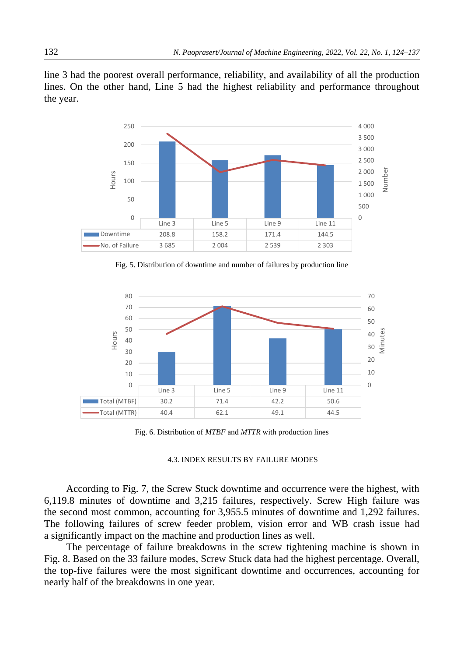line 3 had the poorest overall performance, reliability, and availability of all the production lines. On the other hand, Line 5 had the highest reliability and performance throughout the year.



Fig. 5. Distribution of downtime and number of failures by production line



Fig. 6. Distribution of *MTBF* and *MTTR* with production lines

#### 4.3. INDEX RESULTS BY FAILURE MODES

According to Fig. 7, the Screw Stuck downtime and occurrence were the highest, with 6,119.8 minutes of downtime and 3,215 failures, respectively. Screw High failure was the second most common, accounting for 3,955.5 minutes of downtime and 1,292 failures. The following failures of screw feeder problem, vision error and WB crash issue had a significantly impact on the machine and production lines as well.

The percentage of failure breakdowns in the screw tightening machine is shown in Fig. 8. Based on the 33 failure modes, Screw Stuck data had the highest percentage. Overall, the top-five failures were the most significant downtime and occurrences, accounting for nearly half of the breakdowns in one year.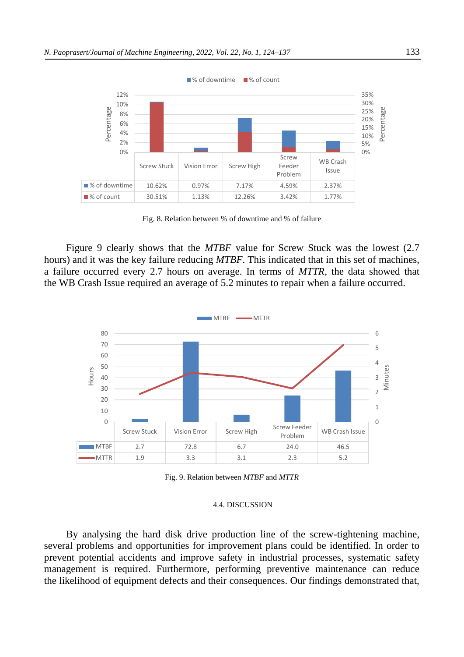

Fig. 8. Relation between % of downtime and % of failure

Figure 9 clearly shows that the *MTBF* value for Screw Stuck was the lowest (2.7 hours) and it was the key failure reducing *MTBF*. This indicated that in this set of machines, a failure occurred every 2.7 hours on average. In terms of *MTTR*, the data showed that the WB Crash Issue required an average of 5.2 minutes to repair when a failure occurred.



Fig. 9. Relation between *MTBF* and *MTTR*

#### 4.4. DISCUSSION

By analysing the hard disk drive production line of the screw-tightening machine, several problems and opportunities for improvement plans could be identified. In order to prevent potential accidents and improve safety in industrial processes, systematic safety management is required. Furthermore, performing preventive maintenance can reduce the likelihood of equipment defects and their consequences. Our findings demonstrated that,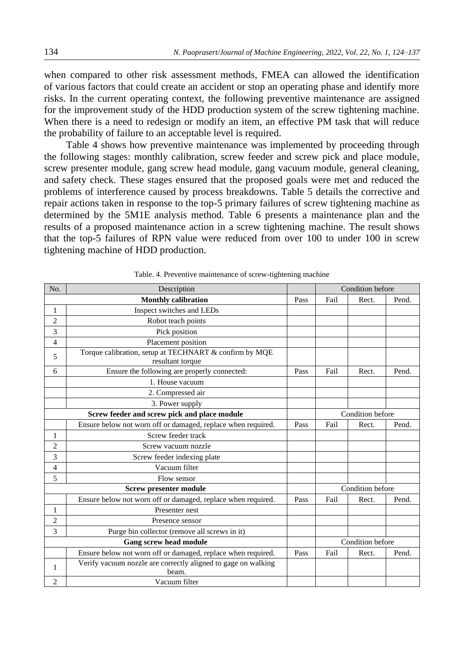when compared to other risk assessment methods, FMEA can allowed the identification of various factors that could create an accident or stop an operating phase and identify more risks. In the current operating context, the following preventive maintenance are assigned for the improvement study of the HDD production system of the screw tightening machine. When there is a need to redesign or modify an item, an effective PM task that will reduce the probability of failure to an acceptable level is required.

Table 4 shows how preventive maintenance was implemented by proceeding through the following stages: monthly calibration, screw feeder and screw pick and place module, screw presenter module, gang screw head module, gang vacuum module, general cleaning, and safety check. These stages ensured that the proposed goals were met and reduced the problems of interference caused by process breakdowns. Table 5 details the corrective and repair actions taken in response to the top-5 primary failures of screw tightening machine as determined by the 5M1E analysis method. Table 6 presents a maintenance plan and the results of a proposed maintenance action in a screw tightening machine. The result shows that the top-5 failures of RPN value were reduced from over 100 to under 100 in screw tightening machine of HDD production.

| No.            | Description                                                                |      |                  | Condition before |       |  |  |  |  |
|----------------|----------------------------------------------------------------------------|------|------------------|------------------|-------|--|--|--|--|
|                | <b>Monthly calibration</b>                                                 | Pass | Fail             | Rect.            | Pend. |  |  |  |  |
| 1              | Inspect switches and LEDs                                                  |      |                  |                  |       |  |  |  |  |
| $\overline{2}$ | Robot teach points                                                         |      |                  |                  |       |  |  |  |  |
| 3              | Pick position                                                              |      |                  |                  |       |  |  |  |  |
| 4              | Placement position                                                         |      |                  |                  |       |  |  |  |  |
| 5              | Torque calibration, setup at TECHNART & confirm by MQE<br>resultant torque |      |                  |                  |       |  |  |  |  |
| 6              | Ensure the following are properly connected:                               | Pass | Fail             | Rect.            | Pend. |  |  |  |  |
|                | 1. House vacuum                                                            |      |                  |                  |       |  |  |  |  |
|                | 2. Compressed air                                                          |      |                  |                  |       |  |  |  |  |
|                | 3. Power supply                                                            |      |                  |                  |       |  |  |  |  |
|                | Screw feeder and screw pick and place module                               |      | Condition before |                  |       |  |  |  |  |
|                | Ensure below not worn off or damaged, replace when required.               | Pass | Fail             | Rect.            | Pend. |  |  |  |  |
| $\mathbf{1}$   | Screw feeder track                                                         |      |                  |                  |       |  |  |  |  |
| $\overline{2}$ | Screw vacuum nozzle                                                        |      |                  |                  |       |  |  |  |  |
| 3              | Screw feeder indexing plate                                                |      |                  |                  |       |  |  |  |  |
| 4              | Vacuum filter                                                              |      |                  |                  |       |  |  |  |  |
| 5              | Flow sensor                                                                |      |                  |                  |       |  |  |  |  |
|                | <b>Screw presenter module</b>                                              |      |                  | Condition before |       |  |  |  |  |
|                | Ensure below not worn off or damaged, replace when required.               | Pass | Fail             | Rect.            | Pend. |  |  |  |  |
| $\mathbf{1}$   | Presenter nest                                                             |      |                  |                  |       |  |  |  |  |
| $\overline{2}$ | Presence sensor                                                            |      |                  |                  |       |  |  |  |  |
| 3              | Purge bin collector (remove all screws in it)                              |      |                  |                  |       |  |  |  |  |
|                | <b>Gang screw head module</b>                                              |      |                  | Condition before |       |  |  |  |  |
|                | Ensure below not worn off or damaged, replace when required.               | Pass | Fail             | Rect.            | Pend. |  |  |  |  |
| $\mathbf{1}$   | Verify vacuum nozzle are correctly aligned to gage on walking<br>beam.     |      |                  |                  |       |  |  |  |  |
| 2              | Vacuum filter                                                              |      |                  |                  |       |  |  |  |  |

Table. 4. Preventive maintenance of screw-tightening machine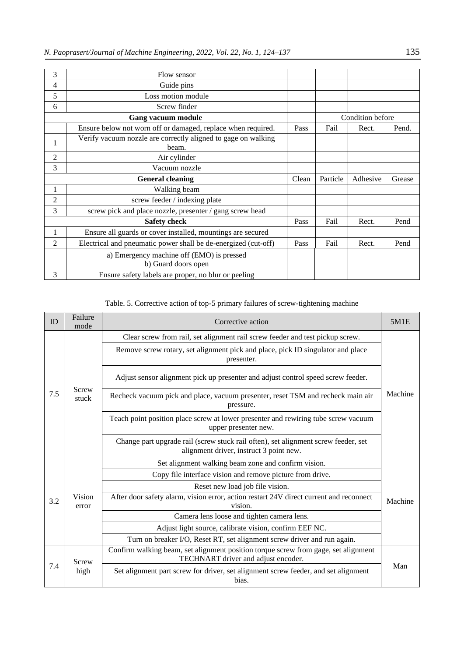| 3              | Flow sensor                                                            |       |          |                  |        |
|----------------|------------------------------------------------------------------------|-------|----------|------------------|--------|
| $\overline{4}$ | Guide pins                                                             |       |          |                  |        |
| 5              | Loss motion module                                                     |       |          |                  |        |
| 6              | Screw finder                                                           |       |          |                  |        |
|                | Gang vacuum module                                                     |       |          | Condition before |        |
|                | Ensure below not worn off or damaged, replace when required.           | Pass  | Fail     | Rect.            | Pend.  |
| 1              | Verify vacuum nozzle are correctly aligned to gage on walking<br>beam. |       |          |                  |        |
| 2              | Air cylinder                                                           |       |          |                  |        |
| 3              | Vacuum nozzle                                                          |       |          |                  |        |
|                |                                                                        |       |          |                  |        |
|                | <b>General cleaning</b>                                                | Clean | Particle | Adhesive         | Grease |
| 1              | Walking beam                                                           |       |          |                  |        |
| $\overline{c}$ | screw feeder / indexing plate                                          |       |          |                  |        |
| 3              | screw pick and place nozzle, presenter / gang screw head               |       |          |                  |        |
|                | <b>Safety check</b>                                                    | Pass  | Fail     | Rect.            | Pend   |
| 1              | Ensure all guards or cover installed, mountings are secured            |       |          |                  |        |
| $\overline{2}$ | Electrical and pneumatic power shall be de-energized (cut-off)         | Pass  | Fail     | Rect.            | Pend   |
|                | a) Emergency machine off (EMO) is pressed<br>b) Guard doors open       |       |          |                  |        |

## Table. 5. Corrective action of top-5 primary failures of screw-tightening machine

| ID  | Failure<br>mode | Corrective action                                                                                                             |         |  |  |
|-----|-----------------|-------------------------------------------------------------------------------------------------------------------------------|---------|--|--|
|     |                 | Clear screw from rail, set alignment rail screw feeder and test pickup screw.                                                 |         |  |  |
|     |                 | Remove screw rotary, set alignment pick and place, pick ID singulator and place<br>presenter.                                 |         |  |  |
|     | Screw           | Adjust sensor alignment pick up presenter and adjust control speed screw feeder.                                              |         |  |  |
| 7.5 | stuck           | Recheck vacuum pick and place, vacuum presenter, reset TSM and recheck main air<br>pressure.                                  | Machine |  |  |
|     |                 | Teach point position place screw at lower presenter and rewiring tube screw vacuum<br>upper presenter new.                    |         |  |  |
|     |                 | Change part upgrade rail (screw stuck rail often), set alignment screw feeder, set<br>alignment driver, instruct 3 point new. |         |  |  |
|     | Vision<br>error | Set alignment walking beam zone and confirm vision.                                                                           |         |  |  |
|     |                 | Copy file interface vision and remove picture from drive.                                                                     |         |  |  |
|     |                 | Reset new load job file vision.                                                                                               |         |  |  |
| 3.2 |                 | After door safety alarm, vision error, action restart 24V direct current and reconnect<br>vision.                             | Machine |  |  |
|     |                 | Camera lens loose and tighten camera lens.                                                                                    |         |  |  |
|     |                 | Adjust light source, calibrate vision, confirm EEF NC.                                                                        |         |  |  |
|     |                 | Turn on breaker I/O, Reset RT, set alignment screw driver and run again.                                                      |         |  |  |
|     | Screw           | Confirm walking beam, set alignment position torque screw from gage, set alignment<br>TECHNART driver and adjust encoder.     |         |  |  |
| 7.4 | high            | Set alignment part screw for driver, set alignment screw feeder, and set alignment<br>bias.                                   | Man     |  |  |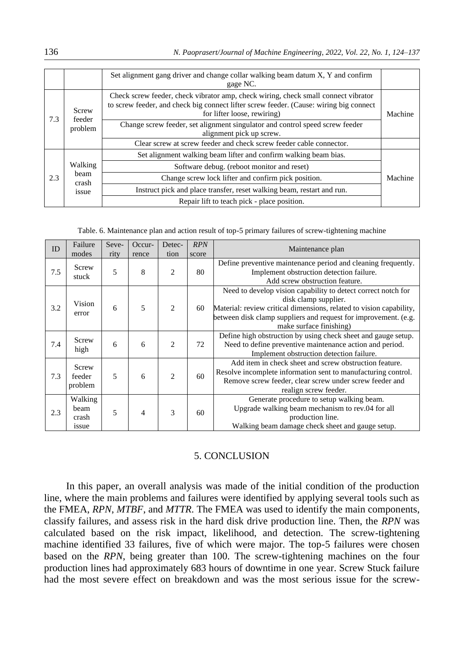|     |                 | Set alignment gang driver and change collar walking beam datum X, Y and confirm<br>gage NC.                                                                                                                 |         |
|-----|-----------------|-------------------------------------------------------------------------------------------------------------------------------------------------------------------------------------------------------------|---------|
| 7.3 | Screw<br>feeder | Check screw feeder, check vibrator amp, check wiring, check small connect vibrator<br>to screw feeder, and check big connect lifter screw feeder. (Cause: wiring big connect<br>for lifter loose, rewiring) | Machine |
|     | problem         | Change screw feeder, set alignment singulator and control speed screw feeder<br>alignment pick up screw.                                                                                                    |         |
|     |                 | Clear screw at screw feeder and check screw feeder cable connector.                                                                                                                                         |         |
|     |                 | Set alignment walking beam lifter and confirm walking beam bias.                                                                                                                                            |         |
|     | Walking         | Software debug. (reboot monitor and reset)                                                                                                                                                                  |         |
| 2.3 | beam<br>crash   | Change screw lock lifter and confirm pick position.                                                                                                                                                         | Machine |
|     | issue           | Instruct pick and place transfer, reset walking beam, restart and run.                                                                                                                                      |         |
|     |                 | Repair lift to teach pick - place position.                                                                                                                                                                 |         |

Table. 6. Maintenance plan and action result of top-5 primary failures of screw-tightening machine

| ID  | Failure<br>modes                  | Seve-<br>rity | Occur-<br>rence | Detec-<br>tion | <b>RPN</b><br>score | Maintenance plan                                                                                                                                                                                                                                           |
|-----|-----------------------------------|---------------|-----------------|----------------|---------------------|------------------------------------------------------------------------------------------------------------------------------------------------------------------------------------------------------------------------------------------------------------|
| 7.5 | Screw<br>stuck                    | 5             | 8               | $\overline{2}$ | 80                  | Define preventive maintenance period and cleaning frequently.<br>Implement obstruction detection failure.<br>Add screw obstruction feature.                                                                                                                |
| 3.2 | Vision<br>error                   | 6             | 5               | 2              | 60                  | Need to develop vision capability to detect correct notch for<br>disk clamp supplier.<br>Material: review critical dimensions, related to vision capability,<br>between disk clamp suppliers and request for improvement. (e.g.<br>make surface finishing) |
| 7.4 | Screw<br>high                     | 6             | 6               | 2              | 72                  | Define high obstruction by using check sheet and gauge setup.<br>Need to define preventive maintenance action and period.<br>Implement obstruction detection failure.                                                                                      |
| 7.3 | Screw<br>feeder<br>problem        | 5             | 6               | $\mathfrak{D}$ | 60                  | Add item in check sheet and screw obstruction feature.<br>Resolve incomplete information sent to manufacturing control.<br>Remove screw feeder, clear screw under screw feeder and<br>realign screw feeder.                                                |
| 2.3 | Walking<br>beam<br>crash<br>issue | 5             | 4               | 3              | 60                  | Generate procedure to setup walking beam.<br>Upgrade walking beam mechanism to rev.04 for all<br>production line.<br>Walking beam damage check sheet and gauge setup.                                                                                      |

## 5. CONCLUSION

In this paper, an overall analysis was made of the initial condition of the production line, where the main problems and failures were identified by applying several tools such as the FMEA, *RPN*, *MTBF*, and *MTTR*. The FMEA was used to identify the main components, classify failures, and assess risk in the hard disk drive production line. Then, the *RPN* was calculated based on the risk impact, likelihood, and detection. The screw-tightening machine identified 33 failures, five of which were major. The top-5 failures were chosen based on the *RPN*, being greater than 100. The screw-tightening machines on the four production lines had approximately 683 hours of downtime in one year. Screw Stuck failure had the most severe effect on breakdown and was the most serious issue for the screw